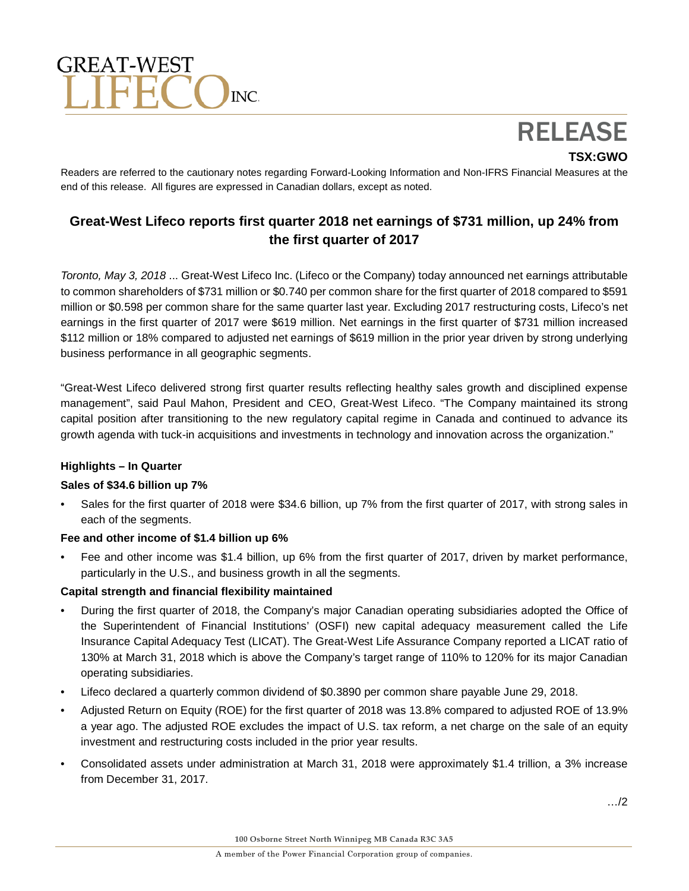# GREAT-WEST  $INC$

RELEASE

**TSX:GWO**

Readers are referred to the cautionary notes regarding Forward-Looking Information and Non-IFRS Financial Measures at the end of this release. All figures are expressed in Canadian dollars, except as noted.

# **Great-West Lifeco reports first quarter 2018 net earnings of \$731 million, up 24% from the first quarter of 2017**

*Toronto, May 3, 2018* ... Great-West Lifeco Inc. (Lifeco or the Company) today announced net earnings attributable to common shareholders of \$731 million or \$0.740 per common share for the first quarter of 2018 compared to \$591 million or \$0.598 per common share for the same quarter last year. Excluding 2017 restructuring costs, Lifeco's net earnings in the first quarter of 2017 were \$619 million. Net earnings in the first quarter of \$731 million increased \$112 million or 18% compared to adjusted net earnings of \$619 million in the prior year driven by strong underlying business performance in all geographic segments.

"Great-West Lifeco delivered strong first quarter results reflecting healthy sales growth and disciplined expense management", said Paul Mahon, President and CEO, Great-West Lifeco. "The Company maintained its strong capital position after transitioning to the new regulatory capital regime in Canada and continued to advance its growth agenda with tuck-in acquisitions and investments in technology and innovation across the organization."

# **Highlights – In Quarter**

## **Sales of \$34.6 billion up 7%**

• Sales for the first quarter of 2018 were \$34.6 billion, up 7% from the first quarter of 2017, with strong sales in each of the segments.

# **Fee and other income of \$1.4 billion up 6%**

• Fee and other income was \$1.4 billion, up 6% from the first quarter of 2017, driven by market performance, particularly in the U.S., and business growth in all the segments.

# **Capital strength and financial flexibility maintained**

- During the first quarter of 2018, the Company's major Canadian operating subsidiaries adopted the Office of the Superintendent of Financial Institutions' (OSFI) new capital adequacy measurement called the Life Insurance Capital Adequacy Test (LICAT). The Great-West Life Assurance Company reported a LICAT ratio of 130% at March 31, 2018 which is above the Company's target range of 110% to 120% for its major Canadian operating subsidiaries.
- Lifeco declared a quarterly common dividend of \$0.3890 per common share payable June 29, 2018.
- Adjusted Return on Equity (ROE) for the first quarter of 2018 was 13.8% compared to adjusted ROE of 13.9% a year ago. The adjusted ROE excludes the impact of U.S. tax reform, a net charge on the sale of an equity investment and restructuring costs included in the prior year results.
- Consolidated assets under administration at March 31, 2018 were approximately \$1.4 trillion, a 3% increase from December 31, 2017.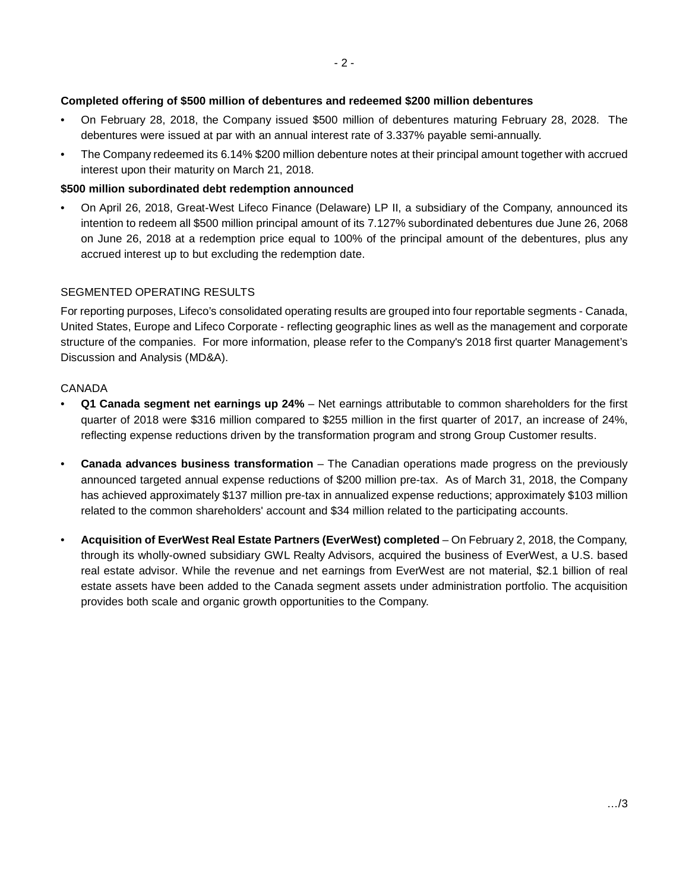## **Completed offering of \$500 million of debentures and redeemed \$200 million debentures**

- On February 28, 2018, the Company issued \$500 million of debentures maturing February 28, 2028. The debentures were issued at par with an annual interest rate of 3.337% payable semi-annually.
- The Company redeemed its 6.14% \$200 million debenture notes at their principal amount together with accrued interest upon their maturity on March 21, 2018.

#### **\$500 million subordinated debt redemption announced**

• On April 26, 2018, Great-West Lifeco Finance (Delaware) LP II, a subsidiary of the Company, announced its intention to redeem all \$500 million principal amount of its 7.127% subordinated debentures due June 26, 2068 on June 26, 2018 at a redemption price equal to 100% of the principal amount of the debentures, plus any accrued interest up to but excluding the redemption date.

#### SEGMENTED OPERATING RESULTS

For reporting purposes, Lifeco's consolidated operating results are grouped into four reportable segments - Canada, United States, Europe and Lifeco Corporate - reflecting geographic lines as well as the management and corporate structure of the companies. For more information, please refer to the Company's 2018 first quarter Management's Discussion and Analysis (MD&A).

#### CANADA

- **Q1 Canada segment net earnings up 24%** Net earnings attributable to common shareholders for the first quarter of 2018 were \$316 million compared to \$255 million in the first quarter of 2017, an increase of 24%, reflecting expense reductions driven by the transformation program and strong Group Customer results.
- **Canada advances business transformation**  The Canadian operations made progress on the previously announced targeted annual expense reductions of \$200 million pre-tax. As of March 31, 2018, the Company has achieved approximately \$137 million pre-tax in annualized expense reductions; approximately \$103 million related to the common shareholders' account and \$34 million related to the participating accounts.
- **Acquisition of EverWest Real Estate Partners (EverWest) completed** On February 2, 2018, the Company, through its wholly-owned subsidiary GWL Realty Advisors, acquired the business of EverWest, a U.S. based real estate advisor. While the revenue and net earnings from EverWest are not material, \$2.1 billion of real estate assets have been added to the Canada segment assets under administration portfolio. The acquisition provides both scale and organic growth opportunities to the Company.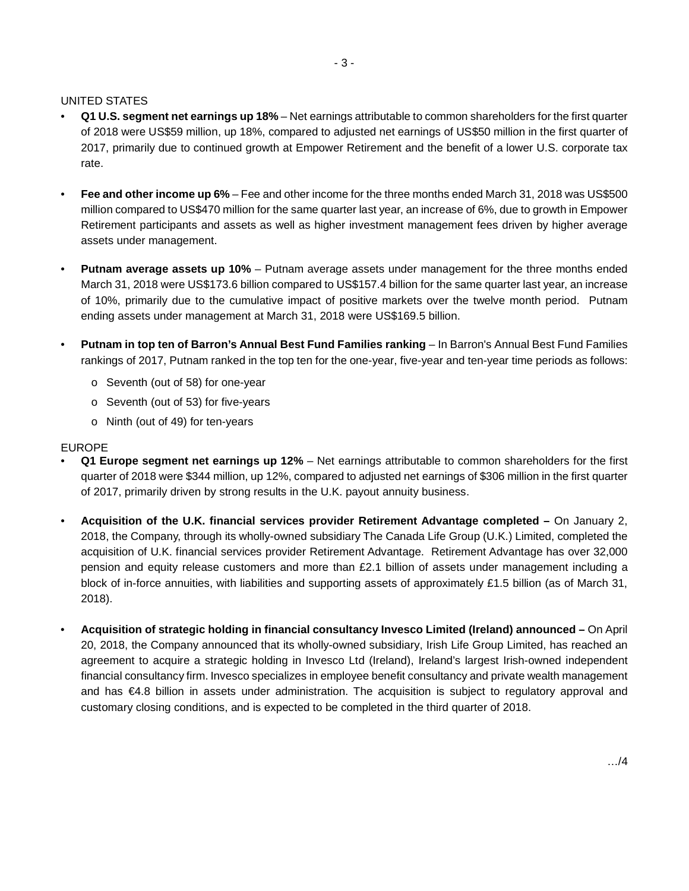#### UNITED STATES

- **Q1 U.S. segment net earnings up 18%** Net earnings attributable to common shareholders for the first quarter of 2018 were US\$59 million, up 18%, compared to adjusted net earnings of US\$50 million in the first quarter of 2017, primarily due to continued growth at Empower Retirement and the benefit of a lower U.S. corporate tax rate.
- **Fee and other income up 6%** Fee and other income for the three months ended March 31, 2018 was US\$500 million compared to US\$470 million for the same quarter last year, an increase of 6%, due to growth in Empower Retirement participants and assets as well as higher investment management fees driven by higher average assets under management.
- **Putnam average assets up 10%** Putnam average assets under management for the three months ended March 31, 2018 were US\$173.6 billion compared to US\$157.4 billion for the same quarter last year, an increase of 10%, primarily due to the cumulative impact of positive markets over the twelve month period. Putnam ending assets under management at March 31, 2018 were US\$169.5 billion.
- **Putnam in top ten of Barron's Annual Best Fund Families ranking** In Barron's Annual Best Fund Families rankings of 2017, Putnam ranked in the top ten for the one-year, five-year and ten-year time periods as follows:
	- o Seventh (out of 58) for one-year
	- o Seventh (out of 53) for five-years
	- o Ninth (out of 49) for ten-years

#### EUROPE

- **Q1 Europe segment net earnings up 12%** Net earnings attributable to common shareholders for the first quarter of 2018 were \$344 million, up 12%, compared to adjusted net earnings of \$306 million in the first quarter of 2017, primarily driven by strong results in the U.K. payout annuity business.
- **Acquisition of the U.K. financial services provider Retirement Advantage completed –** On January 2, 2018, the Company, through its wholly-owned subsidiary The Canada Life Group (U.K.) Limited, completed the acquisition of U.K. financial services provider Retirement Advantage. Retirement Advantage has over 32,000 pension and equity release customers and more than £2.1 billion of assets under management including a block of in-force annuities, with liabilities and supporting assets of approximately £1.5 billion (as of March 31, 2018).
- **Acquisition of strategic holding in financial consultancy Invesco Limited (Ireland) announced –** On April 20, 2018, the Company announced that its wholly-owned subsidiary, Irish Life Group Limited, has reached an agreement to acquire a strategic holding in Invesco Ltd (Ireland), Ireland's largest Irish-owned independent financial consultancy firm. Invesco specializes in employee benefit consultancy and private wealth management and has €4.8 billion in assets under administration. The acquisition is subject to regulatory approval and customary closing conditions, and is expected to be completed in the third quarter of 2018.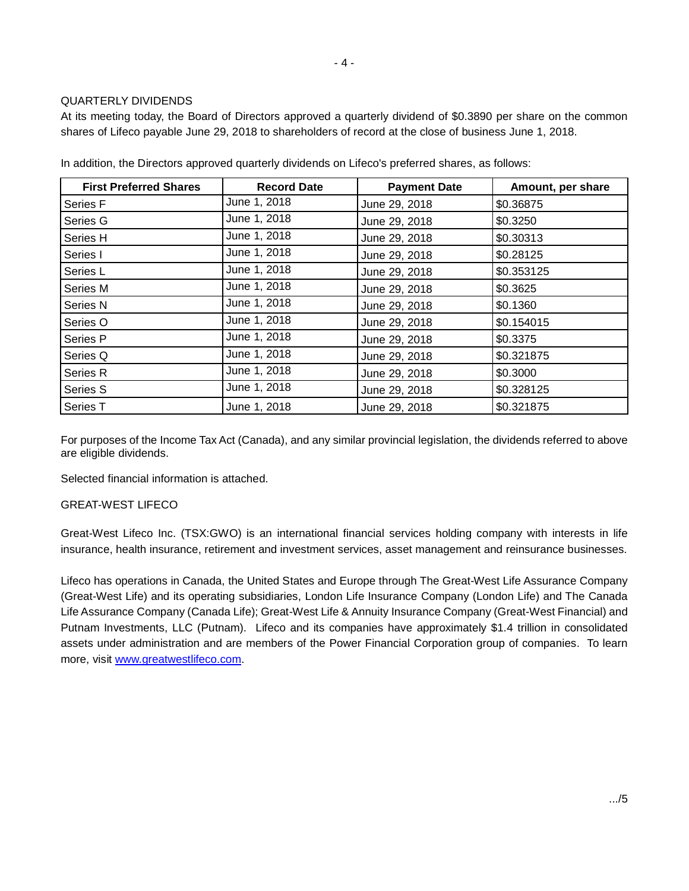## QUARTERLY DIVIDENDS

At its meeting today, the Board of Directors approved a quarterly dividend of \$0.3890 per share on the common shares of Lifeco payable June 29, 2018 to shareholders of record at the close of business June 1, 2018.

| <b>First Preferred Shares</b> | <b>Record Date</b> | <b>Payment Date</b> | Amount, per share |
|-------------------------------|--------------------|---------------------|-------------------|
| Series F                      | June 1, 2018       | June 29, 2018       | \$0.36875         |
| Series G                      | June 1, 2018       | June 29, 2018       | \$0.3250          |
| Series H                      | June 1, 2018       | June 29, 2018       | \$0.30313         |
| Series I                      | June 1, 2018       | June 29, 2018       | \$0.28125         |
| Series L                      | June 1, 2018       | June 29, 2018       | \$0.353125        |
| Series M                      | June 1, 2018       | June 29, 2018       | \$0.3625          |
| Series <sub>N</sub>           | June 1, 2018       | June 29, 2018       | \$0.1360          |
| Series O                      | June 1, 2018       | June 29, 2018       | \$0.154015        |
| Series P                      | June 1, 2018       | June 29, 2018       | \$0.3375          |
| Series Q                      | June 1, 2018       | June 29, 2018       | \$0.321875        |
| Series R                      | June 1, 2018       | June 29, 2018       | \$0.3000          |
| Series S                      | June 1, 2018       | June 29, 2018       | \$0.328125        |
| Series T                      | June 1, 2018       | June 29, 2018       | \$0.321875        |

In addition, the Directors approved quarterly dividends on Lifeco's preferred shares, as follows:

For purposes of the Income Tax Act (Canada), and any similar provincial legislation, the dividends referred to above are eligible dividends.

Selected financial information is attached.

## GREAT-WEST LIFECO

Great-West Lifeco Inc. (TSX:GWO) is an international financial services holding company with interests in life insurance, health insurance, retirement and investment services, asset management and reinsurance businesses.

Lifeco has operations in Canada, the United States and Europe through The Great-West Life Assurance Company (Great-West Life) and its operating subsidiaries, London Life Insurance Company (London Life) and The Canada Life Assurance Company (Canada Life); Great-West Life & Annuity Insurance Company (Great-West Financial) and Putnam Investments, LLC (Putnam). Lifeco and its companies have approximately \$1.4 trillion in consolidated assets under administration and are members of the Power Financial Corporation group of companies. To learn more, visit [www.greatwestlifeco.com.](http://www.greatwestlifeco.com/008/index.htm)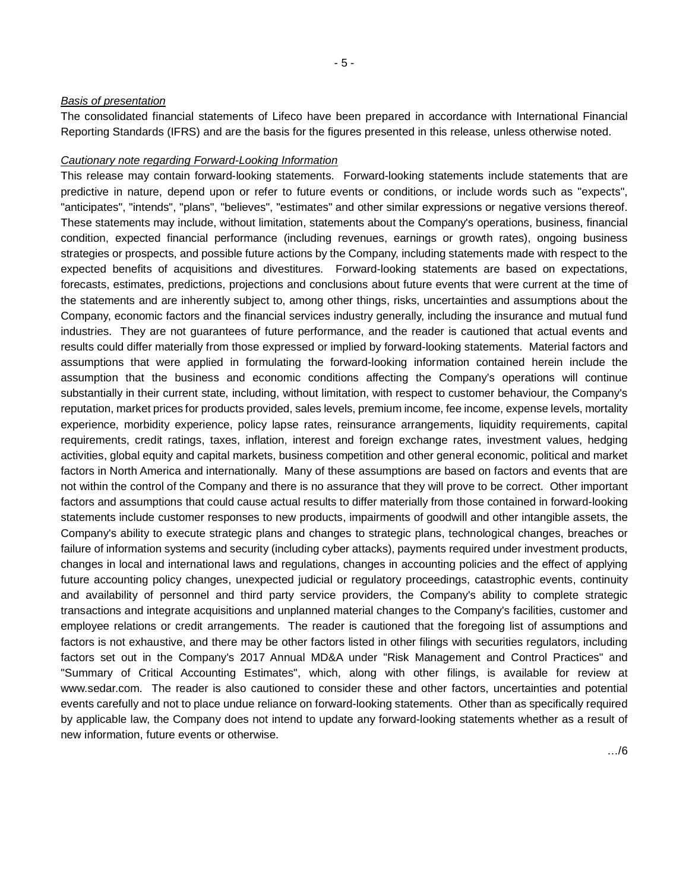#### *Basis of presentation*

The consolidated financial statements of Lifeco have been prepared in accordance with International Financial Reporting Standards (IFRS) and are the basis for the figures presented in this release, unless otherwise noted.

#### *Cautionary note regarding Forward-Looking Information*

This release may contain forward-looking statements. Forward-looking statements include statements that are predictive in nature, depend upon or refer to future events or conditions, or include words such as "expects", "anticipates", "intends", "plans", "believes", "estimates" and other similar expressions or negative versions thereof. These statements may include, without limitation, statements about the Company's operations, business, financial condition, expected financial performance (including revenues, earnings or growth rates), ongoing business strategies or prospects, and possible future actions by the Company, including statements made with respect to the expected benefits of acquisitions and divestitures. Forward-looking statements are based on expectations, forecasts, estimates, predictions, projections and conclusions about future events that were current at the time of the statements and are inherently subject to, among other things, risks, uncertainties and assumptions about the Company, economic factors and the financial services industry generally, including the insurance and mutual fund industries. They are not guarantees of future performance, and the reader is cautioned that actual events and results could differ materially from those expressed or implied by forward-looking statements. Material factors and assumptions that were applied in formulating the forward-looking information contained herein include the assumption that the business and economic conditions affecting the Company's operations will continue substantially in their current state, including, without limitation, with respect to customer behaviour, the Company's reputation, market prices for products provided, sales levels, premium income, fee income, expense levels, mortality experience, morbidity experience, policy lapse rates, reinsurance arrangements, liquidity requirements, capital requirements, credit ratings, taxes, inflation, interest and foreign exchange rates, investment values, hedging activities, global equity and capital markets, business competition and other general economic, political and market factors in North America and internationally. Many of these assumptions are based on factors and events that are not within the control of the Company and there is no assurance that they will prove to be correct. Other important factors and assumptions that could cause actual results to differ materially from those contained in forward-looking statements include customer responses to new products, impairments of goodwill and other intangible assets, the Company's ability to execute strategic plans and changes to strategic plans, technological changes, breaches or failure of information systems and security (including cyber attacks), payments required under investment products, changes in local and international laws and regulations, changes in accounting policies and the effect of applying future accounting policy changes, unexpected judicial or regulatory proceedings, catastrophic events, continuity and availability of personnel and third party service providers, the Company's ability to complete strategic transactions and integrate acquisitions and unplanned material changes to the Company's facilities, customer and employee relations or credit arrangements. The reader is cautioned that the foregoing list of assumptions and factors is not exhaustive, and there may be other factors listed in other filings with securities regulators, including factors set out in the Company's 2017 Annual MD&A under "Risk Management and Control Practices" and "Summary of Critical Accounting Estimates", which, along with other filings, is available for review at www.sedar.com. The reader is also cautioned to consider these and other factors, uncertainties and potential events carefully and not to place undue reliance on forward-looking statements. Other than as specifically required by applicable law, the Company does not intend to update any forward-looking statements whether as a result of new information, future events or otherwise.

…/6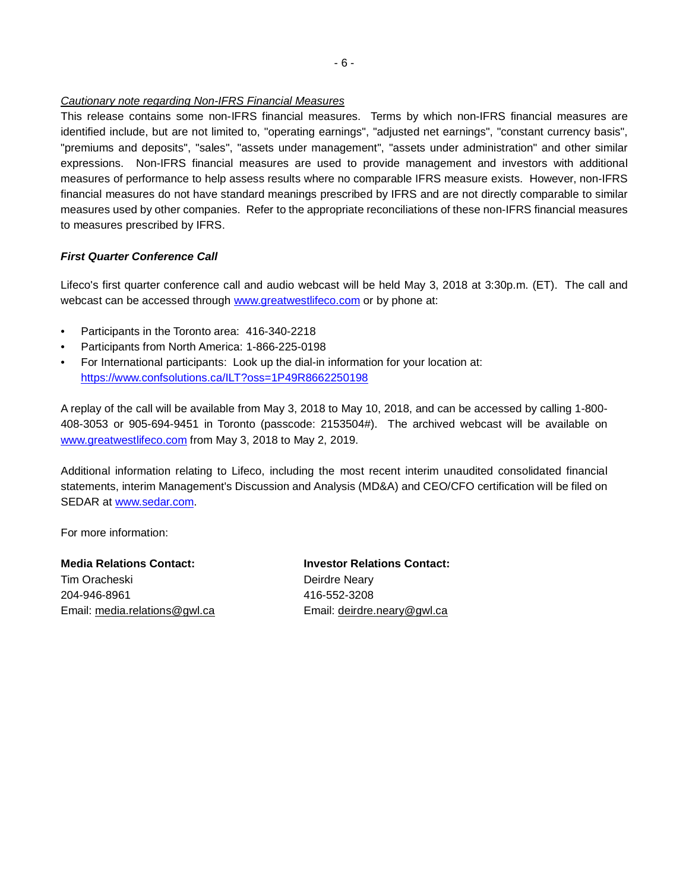#### *Cautionary note regarding Non-IFRS Financial Measures*

This release contains some non-IFRS financial measures. Terms by which non-IFRS financial measures are identified include, but are not limited to, "operating earnings", "adjusted net earnings", "constant currency basis", "premiums and deposits", "sales", "assets under management", "assets under administration" and other similar expressions. Non-IFRS financial measures are used to provide management and investors with additional measures of performance to help assess results where no comparable IFRS measure exists. However, non-IFRS financial measures do not have standard meanings prescribed by IFRS and are not directly comparable to similar measures used by other companies. Refer to the appropriate reconciliations of these non-IFRS financial measures to measures prescribed by IFRS.

# *First Quarter Conference Call*

Lifeco's first quarter conference call and audio webcast will be held May 3, 2018 at 3:30p.m. (ET). The call and webcast can be accessed through [www.greatwestlifeco.com](http://www.greatwestlifeco.com/008/index.htm) or by phone at:

- Participants in the Toronto area: 416-340-2218
- Participants from North America: 1-866-225-0198
- For International participants: Look up the dial-in information for your location at: <https://www.confsolutions.ca/ILT?oss=1P49R8662250198>

A replay of the call will be available from May 3, 2018 to May 10, 2018, and can be accessed by calling 1-800- 408-3053 or 905-694-9451 in Toronto (passcode: 2153504#). The archived webcast will be available on [www.greatwestlifeco.com](http://www.greatwestlifeco.com/008/index.htm) from May 3, 2018 to May 2, 2019.

Additional information relating to Lifeco, including the most recent interim unaudited consolidated financial statements, interim Management's Discussion and Analysis (MD&A) and CEO/CFO certification will be filed on SEDAR at [www.sedar.com.](http://www.sedar.com/)

For more information:

**Media Relations Contact: Investor Relations Contact:** Tim Oracheski Deirdre Neary 204-946-8961 416-552-3208

Email: media.relations@gwl.ca Email: deirdre.neary@gwl.ca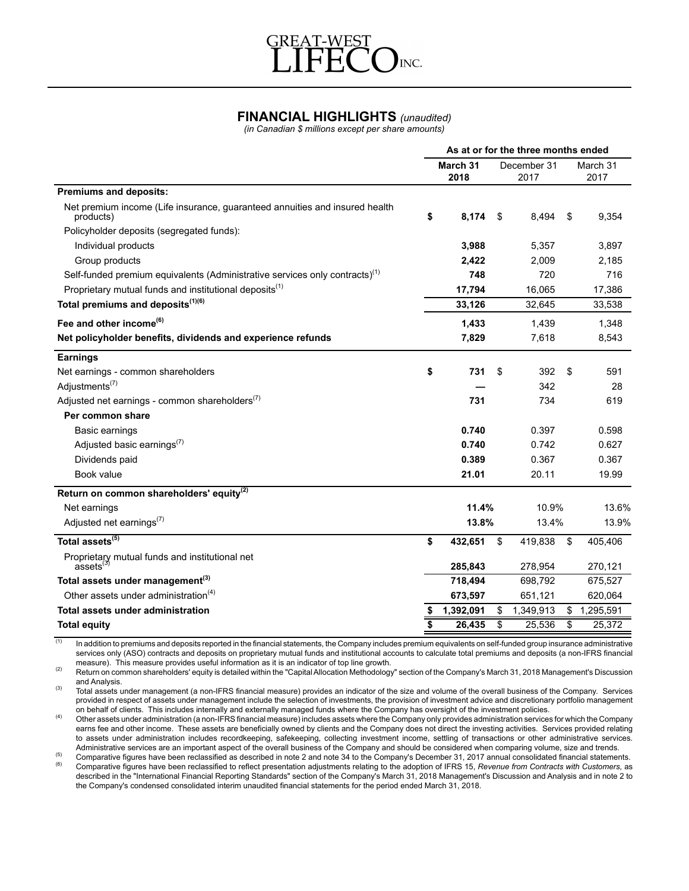

# **FINANCIAL HIGHLIGHTS** *(unaudited)*

*(in Canadian \$ millions except per share amounts)*

| March 31<br>December 31<br>March 31<br>2018<br>2017<br>2017<br><b>Premiums and deposits:</b><br>Net premium income (Life insurance, guaranteed annuities and insured health<br>\$<br>8,174<br>9,354<br>- \$<br>8,494<br>\$<br>products)<br>Policyholder deposits (segregated funds):<br>Individual products<br>3,988<br>5,357<br>3.897<br>Group products<br>2,422<br>2.009<br>2,185<br>Self-funded premium equivalents (Administrative services only contracts) <sup>(1)</sup><br>748<br>720<br>716<br>Proprietary mutual funds and institutional deposits <sup>(1)</sup><br>17,794<br>17,386<br>16,065<br>Total premiums and deposits <sup>(1)(6)</sup><br>33,126<br>32,645<br>33,538<br>Fee and other income <sup>(6)</sup><br>1,433<br>1,439<br>1,348<br>Net policyholder benefits, dividends and experience refunds<br>7,829<br>8,543<br>7,618<br><b>Earnings</b><br>\$<br>Net earnings - common shareholders<br>731<br>\$<br>392<br>\$<br>591<br>Adjustments <sup>(7)</sup><br>342<br>28<br>Adjusted net earnings - common shareholders <sup>(7)</sup><br>731<br>734<br>619<br>Per common share<br>0.740<br>0.397<br>0.598<br>Basic earnings<br>Adjusted basic earnings <sup>(7)</sup><br>0.740<br>0.742<br>0.627<br>Dividends paid<br>0.389<br>0.367<br>0.367<br>Book value<br>21.01<br>19.99<br>20.11<br>Return on common shareholders' equity <sup>(2)</sup><br>11.4%<br>10.9%<br>Net earnings<br>Adjusted net earnings <sup>(7)</sup><br>13.8%<br>13.4%<br>Total assets <sup>(5)</sup><br>\$<br>\$<br>\$<br>405.406<br>432.651<br>419,838<br>Proprietary mutual funds and institutional net assets $^{(3)}$<br>285,843<br>278,954<br>270,121<br>Total assets under management <sup>(3)</sup><br>718,494<br>698.792<br>675,527<br>Other assets under administration <sup>(4)</sup><br>673,597<br>651,121<br>620,064<br>Total assets under administration<br>1,392,091<br>1,349,913<br>\$<br>1,295,591<br>\$<br>\$<br>\$<br>\$<br>26,435<br>25,536<br>S<br>25,372<br><b>Total equity</b> | As at or for the three months ended |  |  |  |  |       |
|-------------------------------------------------------------------------------------------------------------------------------------------------------------------------------------------------------------------------------------------------------------------------------------------------------------------------------------------------------------------------------------------------------------------------------------------------------------------------------------------------------------------------------------------------------------------------------------------------------------------------------------------------------------------------------------------------------------------------------------------------------------------------------------------------------------------------------------------------------------------------------------------------------------------------------------------------------------------------------------------------------------------------------------------------------------------------------------------------------------------------------------------------------------------------------------------------------------------------------------------------------------------------------------------------------------------------------------------------------------------------------------------------------------------------------------------------------------------------------------------------------------------------------------------------------------------------------------------------------------------------------------------------------------------------------------------------------------------------------------------------------------------------------------------------------------------------------------------------------------------------------------------------------------------------------------------------------------------------------------------------|-------------------------------------|--|--|--|--|-------|
|                                                                                                                                                                                                                                                                                                                                                                                                                                                                                                                                                                                                                                                                                                                                                                                                                                                                                                                                                                                                                                                                                                                                                                                                                                                                                                                                                                                                                                                                                                                                                                                                                                                                                                                                                                                                                                                                                                                                                                                                 |                                     |  |  |  |  |       |
|                                                                                                                                                                                                                                                                                                                                                                                                                                                                                                                                                                                                                                                                                                                                                                                                                                                                                                                                                                                                                                                                                                                                                                                                                                                                                                                                                                                                                                                                                                                                                                                                                                                                                                                                                                                                                                                                                                                                                                                                 |                                     |  |  |  |  |       |
|                                                                                                                                                                                                                                                                                                                                                                                                                                                                                                                                                                                                                                                                                                                                                                                                                                                                                                                                                                                                                                                                                                                                                                                                                                                                                                                                                                                                                                                                                                                                                                                                                                                                                                                                                                                                                                                                                                                                                                                                 |                                     |  |  |  |  |       |
|                                                                                                                                                                                                                                                                                                                                                                                                                                                                                                                                                                                                                                                                                                                                                                                                                                                                                                                                                                                                                                                                                                                                                                                                                                                                                                                                                                                                                                                                                                                                                                                                                                                                                                                                                                                                                                                                                                                                                                                                 |                                     |  |  |  |  |       |
|                                                                                                                                                                                                                                                                                                                                                                                                                                                                                                                                                                                                                                                                                                                                                                                                                                                                                                                                                                                                                                                                                                                                                                                                                                                                                                                                                                                                                                                                                                                                                                                                                                                                                                                                                                                                                                                                                                                                                                                                 |                                     |  |  |  |  |       |
|                                                                                                                                                                                                                                                                                                                                                                                                                                                                                                                                                                                                                                                                                                                                                                                                                                                                                                                                                                                                                                                                                                                                                                                                                                                                                                                                                                                                                                                                                                                                                                                                                                                                                                                                                                                                                                                                                                                                                                                                 |                                     |  |  |  |  |       |
|                                                                                                                                                                                                                                                                                                                                                                                                                                                                                                                                                                                                                                                                                                                                                                                                                                                                                                                                                                                                                                                                                                                                                                                                                                                                                                                                                                                                                                                                                                                                                                                                                                                                                                                                                                                                                                                                                                                                                                                                 |                                     |  |  |  |  |       |
|                                                                                                                                                                                                                                                                                                                                                                                                                                                                                                                                                                                                                                                                                                                                                                                                                                                                                                                                                                                                                                                                                                                                                                                                                                                                                                                                                                                                                                                                                                                                                                                                                                                                                                                                                                                                                                                                                                                                                                                                 |                                     |  |  |  |  |       |
|                                                                                                                                                                                                                                                                                                                                                                                                                                                                                                                                                                                                                                                                                                                                                                                                                                                                                                                                                                                                                                                                                                                                                                                                                                                                                                                                                                                                                                                                                                                                                                                                                                                                                                                                                                                                                                                                                                                                                                                                 |                                     |  |  |  |  |       |
|                                                                                                                                                                                                                                                                                                                                                                                                                                                                                                                                                                                                                                                                                                                                                                                                                                                                                                                                                                                                                                                                                                                                                                                                                                                                                                                                                                                                                                                                                                                                                                                                                                                                                                                                                                                                                                                                                                                                                                                                 |                                     |  |  |  |  |       |
|                                                                                                                                                                                                                                                                                                                                                                                                                                                                                                                                                                                                                                                                                                                                                                                                                                                                                                                                                                                                                                                                                                                                                                                                                                                                                                                                                                                                                                                                                                                                                                                                                                                                                                                                                                                                                                                                                                                                                                                                 |                                     |  |  |  |  |       |
|                                                                                                                                                                                                                                                                                                                                                                                                                                                                                                                                                                                                                                                                                                                                                                                                                                                                                                                                                                                                                                                                                                                                                                                                                                                                                                                                                                                                                                                                                                                                                                                                                                                                                                                                                                                                                                                                                                                                                                                                 |                                     |  |  |  |  |       |
|                                                                                                                                                                                                                                                                                                                                                                                                                                                                                                                                                                                                                                                                                                                                                                                                                                                                                                                                                                                                                                                                                                                                                                                                                                                                                                                                                                                                                                                                                                                                                                                                                                                                                                                                                                                                                                                                                                                                                                                                 |                                     |  |  |  |  |       |
|                                                                                                                                                                                                                                                                                                                                                                                                                                                                                                                                                                                                                                                                                                                                                                                                                                                                                                                                                                                                                                                                                                                                                                                                                                                                                                                                                                                                                                                                                                                                                                                                                                                                                                                                                                                                                                                                                                                                                                                                 |                                     |  |  |  |  |       |
|                                                                                                                                                                                                                                                                                                                                                                                                                                                                                                                                                                                                                                                                                                                                                                                                                                                                                                                                                                                                                                                                                                                                                                                                                                                                                                                                                                                                                                                                                                                                                                                                                                                                                                                                                                                                                                                                                                                                                                                                 |                                     |  |  |  |  |       |
|                                                                                                                                                                                                                                                                                                                                                                                                                                                                                                                                                                                                                                                                                                                                                                                                                                                                                                                                                                                                                                                                                                                                                                                                                                                                                                                                                                                                                                                                                                                                                                                                                                                                                                                                                                                                                                                                                                                                                                                                 |                                     |  |  |  |  |       |
|                                                                                                                                                                                                                                                                                                                                                                                                                                                                                                                                                                                                                                                                                                                                                                                                                                                                                                                                                                                                                                                                                                                                                                                                                                                                                                                                                                                                                                                                                                                                                                                                                                                                                                                                                                                                                                                                                                                                                                                                 |                                     |  |  |  |  |       |
|                                                                                                                                                                                                                                                                                                                                                                                                                                                                                                                                                                                                                                                                                                                                                                                                                                                                                                                                                                                                                                                                                                                                                                                                                                                                                                                                                                                                                                                                                                                                                                                                                                                                                                                                                                                                                                                                                                                                                                                                 |                                     |  |  |  |  |       |
|                                                                                                                                                                                                                                                                                                                                                                                                                                                                                                                                                                                                                                                                                                                                                                                                                                                                                                                                                                                                                                                                                                                                                                                                                                                                                                                                                                                                                                                                                                                                                                                                                                                                                                                                                                                                                                                                                                                                                                                                 |                                     |  |  |  |  |       |
|                                                                                                                                                                                                                                                                                                                                                                                                                                                                                                                                                                                                                                                                                                                                                                                                                                                                                                                                                                                                                                                                                                                                                                                                                                                                                                                                                                                                                                                                                                                                                                                                                                                                                                                                                                                                                                                                                                                                                                                                 |                                     |  |  |  |  |       |
|                                                                                                                                                                                                                                                                                                                                                                                                                                                                                                                                                                                                                                                                                                                                                                                                                                                                                                                                                                                                                                                                                                                                                                                                                                                                                                                                                                                                                                                                                                                                                                                                                                                                                                                                                                                                                                                                                                                                                                                                 |                                     |  |  |  |  |       |
|                                                                                                                                                                                                                                                                                                                                                                                                                                                                                                                                                                                                                                                                                                                                                                                                                                                                                                                                                                                                                                                                                                                                                                                                                                                                                                                                                                                                                                                                                                                                                                                                                                                                                                                                                                                                                                                                                                                                                                                                 |                                     |  |  |  |  | 13.6% |
|                                                                                                                                                                                                                                                                                                                                                                                                                                                                                                                                                                                                                                                                                                                                                                                                                                                                                                                                                                                                                                                                                                                                                                                                                                                                                                                                                                                                                                                                                                                                                                                                                                                                                                                                                                                                                                                                                                                                                                                                 |                                     |  |  |  |  | 13.9% |
|                                                                                                                                                                                                                                                                                                                                                                                                                                                                                                                                                                                                                                                                                                                                                                                                                                                                                                                                                                                                                                                                                                                                                                                                                                                                                                                                                                                                                                                                                                                                                                                                                                                                                                                                                                                                                                                                                                                                                                                                 |                                     |  |  |  |  |       |
|                                                                                                                                                                                                                                                                                                                                                                                                                                                                                                                                                                                                                                                                                                                                                                                                                                                                                                                                                                                                                                                                                                                                                                                                                                                                                                                                                                                                                                                                                                                                                                                                                                                                                                                                                                                                                                                                                                                                                                                                 |                                     |  |  |  |  |       |
|                                                                                                                                                                                                                                                                                                                                                                                                                                                                                                                                                                                                                                                                                                                                                                                                                                                                                                                                                                                                                                                                                                                                                                                                                                                                                                                                                                                                                                                                                                                                                                                                                                                                                                                                                                                                                                                                                                                                                                                                 |                                     |  |  |  |  |       |
|                                                                                                                                                                                                                                                                                                                                                                                                                                                                                                                                                                                                                                                                                                                                                                                                                                                                                                                                                                                                                                                                                                                                                                                                                                                                                                                                                                                                                                                                                                                                                                                                                                                                                                                                                                                                                                                                                                                                                                                                 |                                     |  |  |  |  |       |
|                                                                                                                                                                                                                                                                                                                                                                                                                                                                                                                                                                                                                                                                                                                                                                                                                                                                                                                                                                                                                                                                                                                                                                                                                                                                                                                                                                                                                                                                                                                                                                                                                                                                                                                                                                                                                                                                                                                                                                                                 |                                     |  |  |  |  |       |
|                                                                                                                                                                                                                                                                                                                                                                                                                                                                                                                                                                                                                                                                                                                                                                                                                                                                                                                                                                                                                                                                                                                                                                                                                                                                                                                                                                                                                                                                                                                                                                                                                                                                                                                                                                                                                                                                                                                                                                                                 |                                     |  |  |  |  |       |

 $\frac{1}{10}$  In addition to premiums and deposits reported in the financial statements, the Company includes premium equivalents on self-funded group insurance administrative services only (ASO) contracts and deposits on proprietary mutual funds and institutional accounts to calculate total premiums and deposits (a non-IFRS financial measure). This measure provides useful information as it is an indicator of top line growth.

(2) Return on common shareholders' equity is detailed within the "Capital Allocation Methodology" section of the Company's March 31, 2018 Management's Discussion and Analysis.

<sup>(3)</sup> Total assets under management (a non-IFRS financial measure) provides an indicator of the size and volume of the overall business of the Company. Services provided in respect of assets under management include the selection of investments, the provision of investment advice and discretionary portfolio management on behalf of clients. This includes internally and externally managed funds where the Company has oversight of the investment policies.

(4) Other assets under administration (a non-IFRS financial measure) includes assets where the Company only provides administration services for which the Company earns fee and other income. These assets are beneficially owned by clients and the Company does not direct the investing activities. Services provided relating to assets under administration includes recordkeeping, safekeeping, collecting investment income, settling of transactions or other administrative services. Administrative services are an important aspect of the overall business of the Company and should be considered when comparing volume, size and trends.

 $\frac{1}{2}$  Comparative figures have been reclassified as described in note 2 and note 34 to the Company's December 31, 2017 annual consolidated financial statements.<br>Comparative figures have been reclassified to spleet are (6) Comparative figures have been reclassified to reflect presentation adjustments relating to the adoption of IFRS 15, *Revenue from Contracts with Customers,* as described in the "International Financial Reporting Standards" section of the Company's March 31, 2018 Management's Discussion and Analysis and in note 2 to the Company's condensed consolidated interim unaudited financial statements for the period ended March 31, 2018.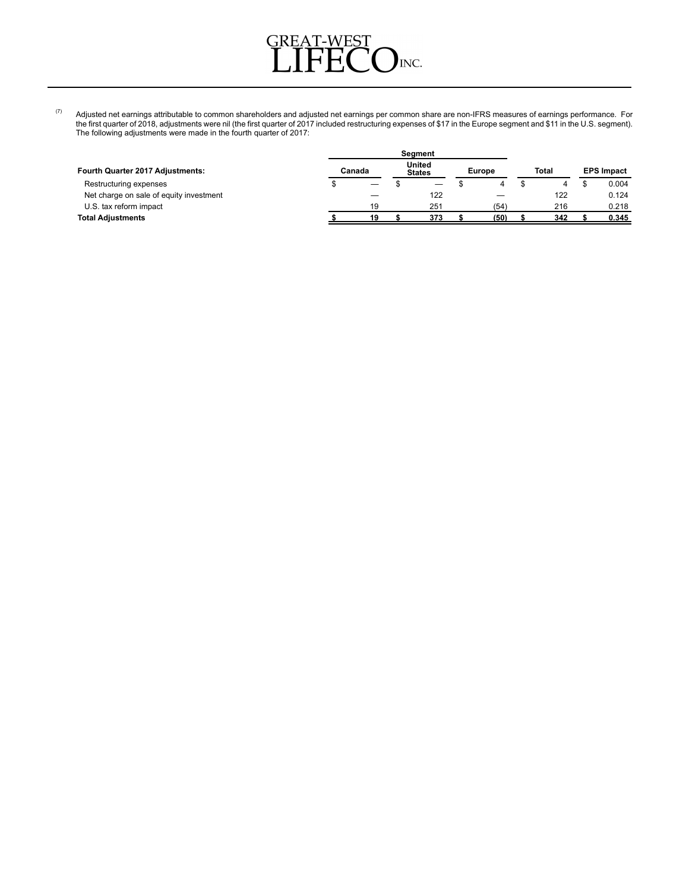

 $^{(7)}$  Adjusted net earnings attributable to common shareholders and adjusted net earnings per common share are non-IFRS measures of earnings performance. For the first quarter of 2018, adjustments were nil (the first quarter of 2017 included restructuring expenses of \$17 in the Europe segment and \$11 in the U.S. segment). The following adjustments were made in the fourth quarter of 2017:

| Fourth Quarter 2017 Adjustments:        | Canada |    | United<br><b>States</b> |     | <b>Europe</b> |      | Total |     | <b>EPS Impact</b> |       |
|-----------------------------------------|--------|----|-------------------------|-----|---------------|------|-------|-----|-------------------|-------|
| Restructuring expenses                  |        |    |                         | —   |               |      |       |     |                   | 0.004 |
| Net charge on sale of equity investment |        |    |                         | 122 |               |      |       | 122 |                   | 0.124 |
| U.S. tax reform impact                  |        | 19 |                         | 251 |               | (54) |       | 216 |                   | 0.218 |
| <b>Total Adjustments</b>                |        | 19 |                         | 373 |               | (50) |       | 342 |                   | 0.345 |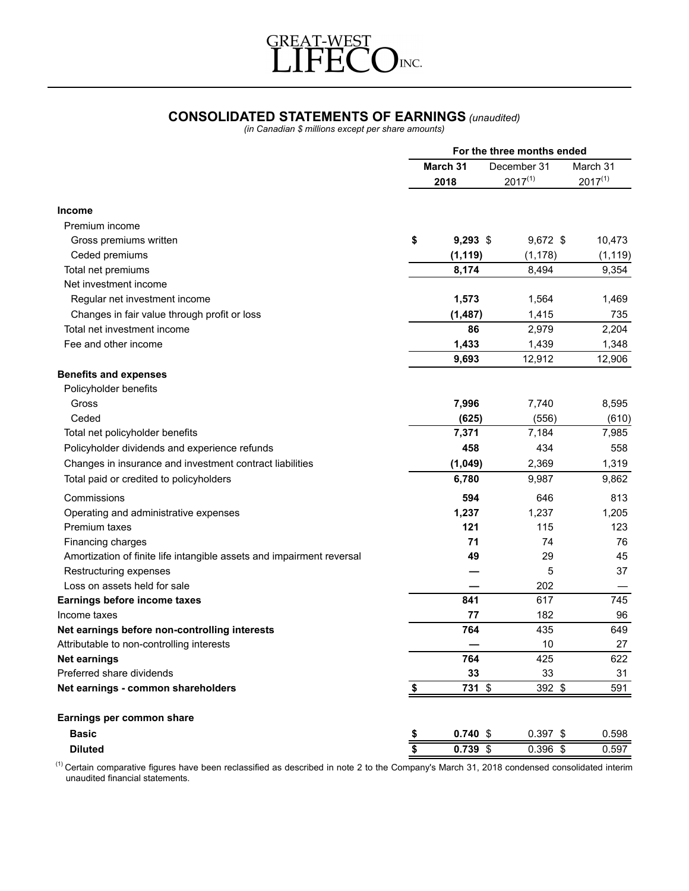

# **CONSOLIDATED STATEMENTS OF EARNINGS** *(unaudited)*

*(in Canadian \$ millions except per share amounts)*

|                                                                       | For the three months ended |            |                             |                          |  |
|-----------------------------------------------------------------------|----------------------------|------------|-----------------------------|--------------------------|--|
|                                                                       | March 31<br>2018           |            | December 31<br>$2017^{(1)}$ | March 31<br>$2017^{(1)}$ |  |
|                                                                       |                            |            |                             |                          |  |
| <b>Income</b>                                                         |                            |            |                             |                          |  |
| Premium income                                                        |                            |            |                             |                          |  |
| Gross premiums written                                                | \$                         | $9,293$ \$ | 9,672 \$                    | 10,473                   |  |
| Ceded premiums                                                        |                            | (1, 119)   | (1, 178)                    | (1, 119)                 |  |
| Total net premiums                                                    |                            | 8,174      | 8,494                       | 9,354                    |  |
| Net investment income                                                 |                            |            |                             |                          |  |
| Regular net investment income                                         |                            | 1,573      | 1,564                       | 1,469                    |  |
| Changes in fair value through profit or loss                          |                            | (1, 487)   | 1,415                       | 735                      |  |
| Total net investment income                                           |                            | 86         | 2,979                       | 2,204                    |  |
| Fee and other income                                                  |                            | 1,433      | 1,439                       | 1,348                    |  |
|                                                                       |                            | 9,693      | 12,912                      | 12,906                   |  |
| <b>Benefits and expenses</b>                                          |                            |            |                             |                          |  |
| Policyholder benefits                                                 |                            |            |                             |                          |  |
| Gross                                                                 |                            | 7,996      | 7,740                       | 8,595                    |  |
| Ceded                                                                 |                            | (625)      | (556)                       | (610)                    |  |
| Total net policyholder benefits                                       |                            | 7,371      | 7,184                       | 7,985                    |  |
| Policyholder dividends and experience refunds                         |                            | 458        | 434                         | 558                      |  |
| Changes in insurance and investment contract liabilities              |                            | (1,049)    | 2,369                       | 1,319                    |  |
| Total paid or credited to policyholders                               |                            | 6,780      | 9,987                       | 9,862                    |  |
| Commissions                                                           |                            | 594        | 646                         | 813                      |  |
| Operating and administrative expenses                                 |                            | 1,237      | 1,237                       | 1,205                    |  |
| Premium taxes                                                         |                            | 121        | 115                         | 123                      |  |
| Financing charges                                                     |                            | 71         | 74                          | 76                       |  |
| Amortization of finite life intangible assets and impairment reversal |                            | 49         | 29                          | 45                       |  |
| Restructuring expenses                                                |                            |            | 5                           | 37                       |  |
| Loss on assets held for sale                                          |                            |            | 202                         |                          |  |
| Earnings before income taxes                                          |                            | 841        | 617                         | 745                      |  |
| Income taxes                                                          |                            | 77         | 182                         | 96                       |  |
| Net earnings before non-controlling interests                         |                            | 764        | 435                         | 649                      |  |
| Attributable to non-controlling interests                             |                            |            | 10                          | 27                       |  |
| <b>Net earnings</b>                                                   |                            | 764        | 425                         | 622                      |  |
| Preferred share dividends                                             |                            | 33         | 33                          | 31                       |  |
| Net earnings - common shareholders                                    | $\frac{3}{2}$              | 731 \$     | 392 \$                      | 591                      |  |
| Earnings per common share                                             |                            |            |                             |                          |  |
| <b>Basic</b>                                                          | \$                         | $0.740$ \$ | $0.397$ \$                  | 0.598                    |  |
| <b>Diluted</b>                                                        | $\dot{\bar{\bar{s}}}$      | $0.739$ \$ | $0.396$ \$                  | 0.597                    |  |

 $^{(1)}$  Certain comparative figures have been reclassified as described in note 2 to the Company's March 31, 2018 condensed consolidated interim unaudited financial statements.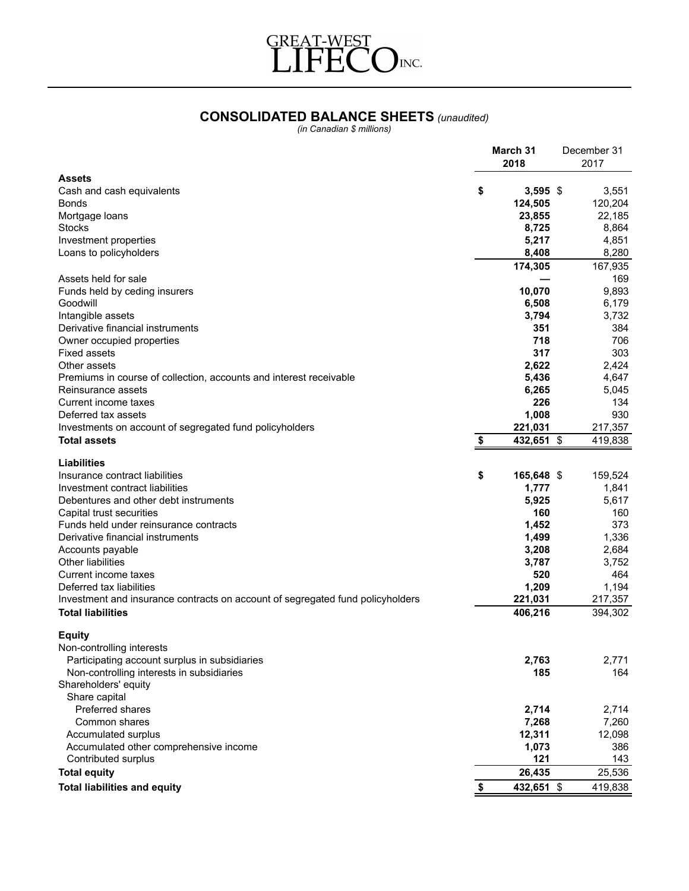

# **CONSOLIDATED BALANCE SHEETS** *(unaudited)*

*(in Canadian \$ millions)*

|                                                                                                            | March 31<br>2018   | December 31<br>2017 |
|------------------------------------------------------------------------------------------------------------|--------------------|---------------------|
| <b>Assets</b>                                                                                              |                    |                     |
| Cash and cash equivalents                                                                                  | \$<br>$3,595$ \$   | 3,551               |
| Bonds                                                                                                      | 124,505            | 120,204             |
| Mortgage loans                                                                                             | 23.855             | 22,185              |
| <b>Stocks</b>                                                                                              | 8,725              | 8,864               |
| Investment properties                                                                                      | 5,217              | 4,851               |
| Loans to policyholders                                                                                     | 8,408              | 8,280               |
|                                                                                                            | 174,305            | 167,935             |
| Assets held for sale                                                                                       |                    | 169                 |
| Funds held by ceding insurers                                                                              | 10,070             | 9,893               |
| Goodwill                                                                                                   | 6,508              | 6,179               |
| Intangible assets                                                                                          | 3,794              | 3,732               |
| Derivative financial instruments                                                                           | 351                | 384                 |
| Owner occupied properties                                                                                  | 718                | 706                 |
| <b>Fixed assets</b>                                                                                        | 317                | 303                 |
| Other assets                                                                                               | 2,622              | 2,424               |
| Premiums in course of collection, accounts and interest receivable                                         | 5,436              | 4,647               |
| Reinsurance assets                                                                                         | 6,265              | 5,045               |
| Current income taxes                                                                                       | 226                | 134                 |
| Deferred tax assets                                                                                        | 1,008              | 930                 |
| Investments on account of segregated fund policyholders                                                    | 221,031            | 217,357             |
| <b>Total assets</b>                                                                                        | 432,651 \$<br>S    | 419,838             |
|                                                                                                            |                    |                     |
| Liabilities                                                                                                |                    |                     |
| Insurance contract liabilities                                                                             | \$<br>165,648 \$   | 159,524             |
| Investment contract liabilities                                                                            | 1,777              | 1,841               |
| Debentures and other debt instruments                                                                      | 5,925              | 5,617               |
| Capital trust securities                                                                                   | 160                | 160                 |
| Funds held under reinsurance contracts                                                                     | 1,452              | 373                 |
| Derivative financial instruments                                                                           | 1,499              | 1,336               |
| Accounts payable                                                                                           | 3,208              | 2,684               |
| <b>Other liabilities</b>                                                                                   | 3,787              | 3,752               |
| Current income taxes                                                                                       | 520                | 464                 |
| Deferred tax liabilities                                                                                   | 1,209              | 1,194               |
| Investment and insurance contracts on account of segregated fund policyholders<br><b>Total liabilities</b> | 221,031<br>406,216 | 217,357<br>394,302  |
|                                                                                                            |                    |                     |
| <b>Equity</b>                                                                                              |                    |                     |
| Non-controlling interests                                                                                  |                    |                     |
| Participating account surplus in subsidiaries                                                              | 2,763              | 2,771               |
| Non-controlling interests in subsidiaries                                                                  | 185                | 164                 |
| Shareholders' equity                                                                                       |                    |                     |
| Share capital                                                                                              |                    |                     |
| Preferred shares                                                                                           | 2,714              | 2,714               |
| Common shares                                                                                              | 7,268              | 7,260               |
| Accumulated surplus                                                                                        | 12,311             | 12,098              |
| Accumulated other comprehensive income                                                                     | 1,073              | 386                 |
| Contributed surplus                                                                                        | 121                | 143                 |
| <b>Total equity</b>                                                                                        | 26,435             | 25,536              |
| <b>Total liabilities and equity</b>                                                                        | 432,651 \$<br>\$   | 419,838             |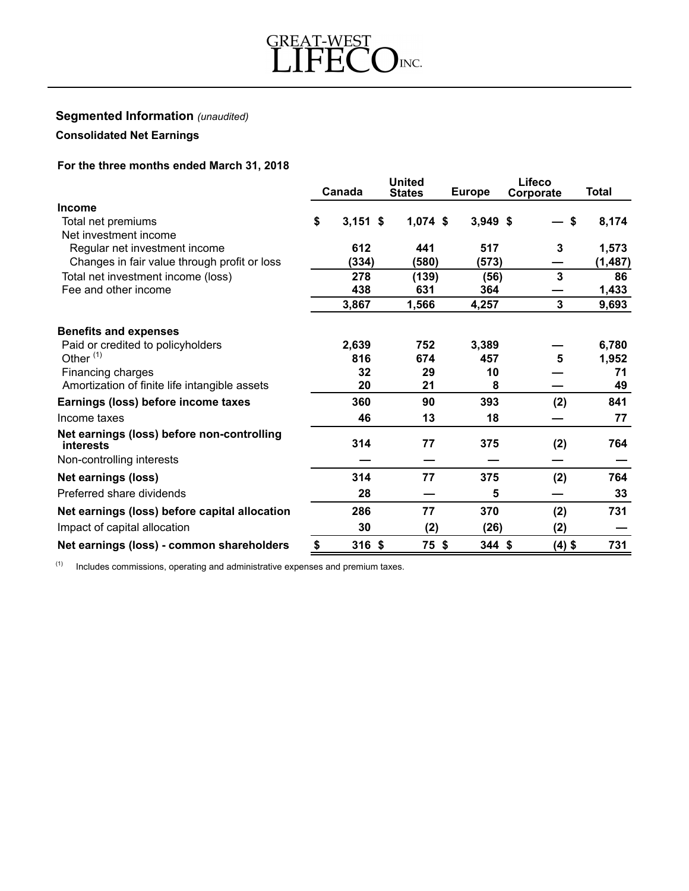

#### **Segmented Information** *(unaudited)*

# **Consolidated Net Earnings**

# **For the three months ended March 31, 2018**

|                                                         |    |            | <b>United</b> |               | Lifeco       |              |  |
|---------------------------------------------------------|----|------------|---------------|---------------|--------------|--------------|--|
|                                                         |    | Canada     | <b>States</b> | <b>Europe</b> | Corporate    | <b>Total</b> |  |
| <b>Income</b>                                           |    |            |               |               |              |              |  |
| Total net premiums                                      | \$ | $3,151$ \$ | $1,074$ \$    | $3,949$ \$    | S            | 8,174        |  |
| Net investment income                                   |    |            |               |               |              |              |  |
| Regular net investment income                           |    | 612        | 441           | 517           | $\mathbf{3}$ | 1,573        |  |
| Changes in fair value through profit or loss            |    | (334)      | (580)         | (573)         |              | (1, 487)     |  |
| Total net investment income (loss)                      |    | 278        | (139)         | (56)          | 3            | 86           |  |
| Fee and other income                                    |    | 438        | 631           | 364           |              | 1,433        |  |
|                                                         |    | 3,867      | 1,566         | 4,257         | 3            | 9,693        |  |
| <b>Benefits and expenses</b>                            |    |            |               |               |              |              |  |
| Paid or credited to policyholders                       |    | 2,639      | 752           | 3,389         |              | 6,780        |  |
| Other $(1)$                                             |    | 816        | 674           | 457           | 5            | 1,952        |  |
| Financing charges                                       |    | 32         | 29            | 10            |              | 71           |  |
| Amortization of finite life intangible assets           |    | 20         | 21            | 8             |              | 49           |  |
| Earnings (loss) before income taxes                     |    | 360        | 90            | 393           | (2)          | 841          |  |
| Income taxes                                            |    | 46         | 13            | 18            |              | 77           |  |
| Net earnings (loss) before non-controlling<br>interests |    | 314        | 77            | 375           | (2)          | 764          |  |
| Non-controlling interests                               |    |            |               |               |              |              |  |
| <b>Net earnings (loss)</b>                              |    | 314        | 77            | 375           | (2)          | 764          |  |
| Preferred share dividends                               |    | 28         |               | 5             |              | 33           |  |
| Net earnings (loss) before capital allocation           |    | 286        | 77            | 370           | (2)          | 731          |  |
| Impact of capital allocation                            |    | 30         | (2)           | (26)          | (2)          |              |  |
| Net earnings (loss) - common shareholders               | \$ | $316$ \$   | 75 \$         | 344S          | $(4)$ \$     | 731          |  |

 $(1)$  Includes commissions, operating and administrative expenses and premium taxes.